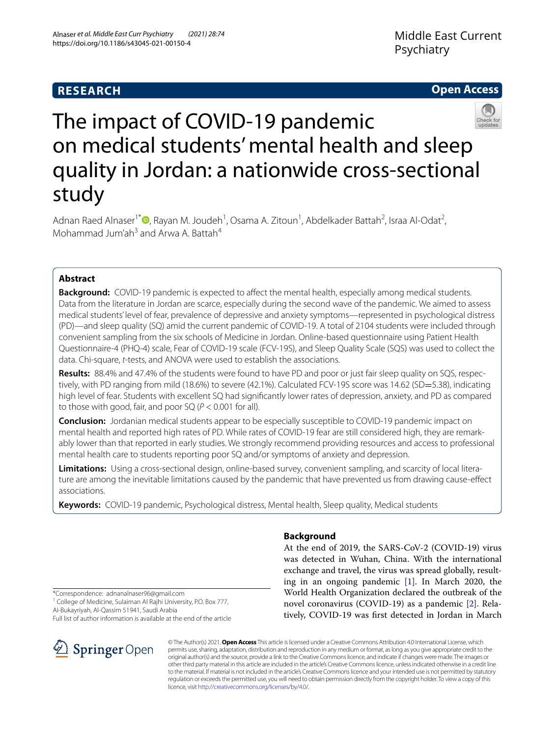# **RESEARCH**

# **Open Access**



# The impact of COVID-19 pandemic on medical students' mental health and sleep quality in Jordan: a nationwide cross-sectional study

Adnan Raed Alnaser<sup>1[\\*](http://orcid.org/0000-0003-2078-0262)</sup><sup>®</sup>, Rayan M. Joudeh<sup>1</sup>, Osama A. Zitoun<sup>1</sup>, Abdelkader Battah<sup>2</sup>, Israa Al-Odat<sup>2</sup>, Mohammad Jum'ah<sup>3</sup> and Arwa A. Battah<sup>4</sup>

# **Abstract**

**Background:** COVID-19 pandemic is expected to affect the mental health, especially among medical students. Data from the literature in Jordan are scarce, especially during the second wave of the pandemic. We aimed to assess medical students' level of fear, prevalence of depressive and anxiety symptoms—represented in psychological distress (PD)—and sleep quality (SQ) amid the current pandemic of COVID-19. A total of 2104 students were included through convenient sampling from the six schools of Medicine in Jordan. Online-based questionnaire using Patient Health Questionnaire-4 (PHQ-4) scale, Fear of COVID-19 scale (FCV-19S), and Sleep Quality Scale (SQS) was used to collect the data. Chi-square, *t*-tests, and ANOVA were used to establish the associations.

**Results:** 88.4% and 47.4% of the students were found to have PD and poor or just fair sleep quality on SQS, respec‑ tively, with PD ranging from mild (18.6%) to severe (42.1%). Calculated FCV-19S score was 14.62 (SD=5.38), indicating high level of fear. Students with excellent SQ had signifcantly lower rates of depression, anxiety, and PD as compared to those with good, fair, and poor SQ (*P* < 0.001 for all).

**Conclusion:** Jordanian medical students appear to be especially susceptible to COVID-19 pandemic impact on mental health and reported high rates of PD. While rates of COVID-19 fear are still considered high, they are remark‑ ably lower than that reported in early studies. We strongly recommend providing resources and access to professional mental health care to students reporting poor SQ and/or symptoms of anxiety and depression.

Limitations: Using a cross-sectional design, online-based survey, convenient sampling, and scarcity of local literature are among the inevitable limitations caused by the pandemic that have prevented us from drawing cause-efect associations.

**Keywords:** COVID-19 pandemic, Psychological distress, Mental health, Sleep quality, Medical students

# **Background**

At the end of 2019, the SARS-CoV-2 (COVID-19) virus was detected in Wuhan, China. With the international exchange and travel, the virus was spread globally, resulting in an ongoing pandemic [\[1](#page-8-0)]. In March 2020, the World Health Organization declared the outbreak of the novel coronavirus (COVID-19) as a pandemic [[2\]](#page-8-1). Relatively, COVID-19 was frst detected in Jordan in March

\*Correspondence: adnanalnaser96@gmail.com

<sup>1</sup> College of Medicine, Sulaiman Al Rajhi University, P.O. Box 777, Al‑Bukayriyah, Al‑Qassim 51941, Saudi Arabia

Full list of author information is available at the end of the article



© The Author(s) 2021. **Open Access** This article is licensed under a Creative Commons Attribution 4.0 International License, which permits use, sharing, adaptation, distribution and reproduction in any medium or format, as long as you give appropriate credit to the original author(s) and the source, provide a link to the Creative Commons licence, and indicate if changes were made. The images or other third party material in this article are included in the article's Creative Commons licence, unless indicated otherwise in a credit line to the material. If material is not included in the article's Creative Commons licence and your intended use is not permitted by statutory regulation or exceeds the permitted use, you will need to obtain permission directly from the copyright holder. To view a copy of this licence, visit [http://creativecommons.org/licenses/by/4.0/.](http://creativecommons.org/licenses/by/4.0/)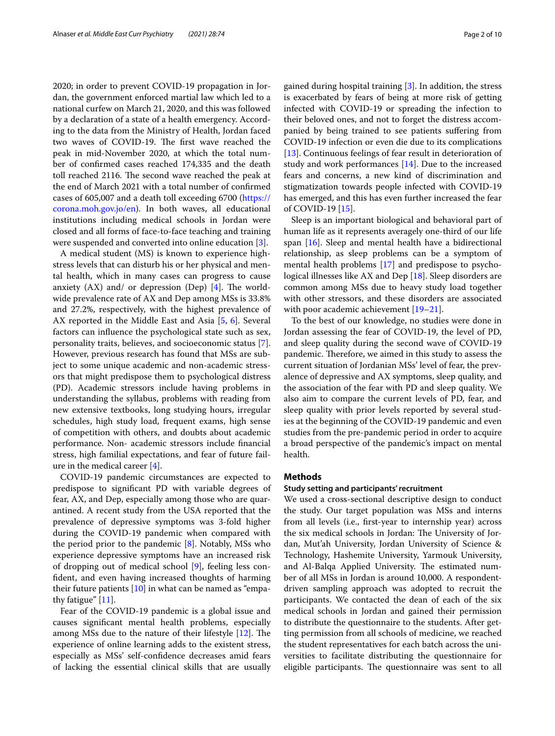2020; in order to prevent COVID-19 propagation in Jordan, the government enforced martial law which led to a national curfew on March 21, 2020, and this was followed by a declaration of a state of a health emergency. According to the data from the Ministry of Health, Jordan faced two waves of COVID-19. The first wave reached the peak in mid-November 2020, at which the total number of confrmed cases reached 174,335 and the death toll reached 2116. The second wave reached the peak at the end of March 2021 with a total number of confrmed cases of 605,007 and a death toll exceeding 6700 [\(https://](https://corona.moh.gov.jo/en) [corona.moh.gov.jo/en\)](https://corona.moh.gov.jo/en). In both waves, all educational institutions including medical schools in Jordan were closed and all forms of face-to-face teaching and training were suspended and converted into online education [[3](#page-8-2)].

A medical student (MS) is known to experience highstress levels that can disturb his or her physical and mental health, which in many cases can progress to cause anxiety  $(AX)$  and/ or depression  $(Dep)$  [\[4](#page-8-3)]. The worldwide prevalence rate of AX and Dep among MSs is 33.8% and 27.2%, respectively, with the highest prevalence of AX reported in the Middle East and Asia [[5,](#page-8-4) [6](#page-8-5)]. Several factors can infuence the psychological state such as sex, personality traits, believes, and socioeconomic status [\[7](#page-8-6)]. However, previous research has found that MSs are subject to some unique academic and non-academic stressors that might predispose them to psychological distress (PD). Academic stressors include having problems in understanding the syllabus, problems with reading from new extensive textbooks, long studying hours, irregular schedules, high study load, frequent exams, high sense of competition with others, and doubts about academic performance. Non- academic stressors include fnancial stress, high familial expectations, and fear of future failure in the medical career [[4\]](#page-8-3).

COVID-19 pandemic circumstances are expected to predispose to signifcant PD with variable degrees of fear, AX, and Dep, especially among those who are quarantined. A recent study from the USA reported that the prevalence of depressive symptoms was 3-fold higher during the COVID-19 pandemic when compared with the period prior to the pandemic  $[8]$  $[8]$ . Notably, MSs who experience depressive symptoms have an increased risk of dropping out of medical school [[9](#page-8-8)], feeling less confdent, and even having increased thoughts of harming their future patients  $[10]$  $[10]$  in what can be named as "empathy fatigue" [[11\]](#page-8-10).

Fear of the COVID-19 pandemic is a global issue and causes signifcant mental health problems, especially among MSs due to the nature of their lifestyle [[12](#page-8-11)]. The experience of online learning adds to the existent stress, especially as MSs' self-confdence decreases amid fears of lacking the essential clinical skills that are usually gained during hospital training [\[3](#page-8-2)]. In addition, the stress is exacerbated by fears of being at more risk of getting infected with COVID-19 or spreading the infection to their beloved ones, and not to forget the distress accompanied by being trained to see patients sufering from COVID-19 infection or even die due to its complications [[13\]](#page-8-12). Continuous feelings of fear result in deterioration of study and work performances [[14\]](#page-8-13). Due to the increased fears and concerns, a new kind of discrimination and stigmatization towards people infected with COVID-19 has emerged, and this has even further increased the fear

Sleep is an important biological and behavioral part of human life as it represents averagely one-third of our life span [[16\]](#page-8-15). Sleep and mental health have a bidirectional relationship, as sleep problems can be a symptom of mental health problems [\[17\]](#page-8-16) and predispose to psychological illnesses like AX and Dep [[18](#page-8-17)]. Sleep disorders are common among MSs due to heavy study load together with other stressors, and these disorders are associated with poor academic achievement [\[19](#page-8-18)[–21\]](#page-8-19).

To the best of our knowledge, no studies were done in Jordan assessing the fear of COVID-19, the level of PD, and sleep quality during the second wave of COVID-19 pandemic. Therefore, we aimed in this study to assess the current situation of Jordanian MSs' level of fear, the prevalence of depressive and AX symptoms, sleep quality, and the association of the fear with PD and sleep quality. We also aim to compare the current levels of PD, fear, and sleep quality with prior levels reported by several studies at the beginning of the COVID-19 pandemic and even studies from the pre-pandemic period in order to acquire a broad perspective of the pandemic's impact on mental health.

# **Methods**

of COVID-19 [[15\]](#page-8-14).

# **Study setting and participants' recruitment**

We used a cross-sectional descriptive design to conduct the study. Our target population was MSs and interns from all levels (i.e., frst-year to internship year) across the six medical schools in Jordan: The University of Jordan, Mut'ah University, Jordan University of Science & Technology, Hashemite University, Yarmouk University, and Al-Balqa Applied University. The estimated number of all MSs in Jordan is around 10,000. A respondentdriven sampling approach was adopted to recruit the participants. We contacted the dean of each of the six medical schools in Jordan and gained their permission to distribute the questionnaire to the students. After getting permission from all schools of medicine, we reached the student representatives for each batch across the universities to facilitate distributing the questionnaire for eligible participants. The questionnaire was sent to all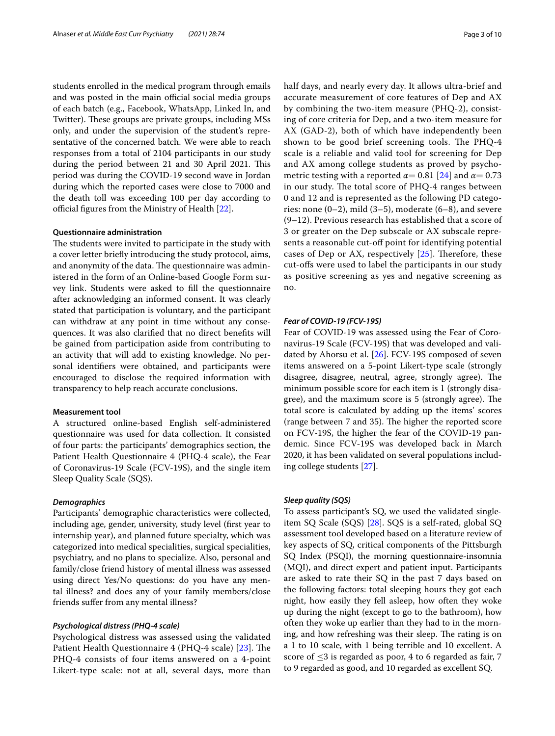students enrolled in the medical program through emails and was posted in the main official social media groups of each batch (e.g., Facebook, WhatsApp, Linked In, and Twitter). These groups are private groups, including MSs only, and under the supervision of the student's representative of the concerned batch. We were able to reach responses from a total of 2104 participants in our study during the period between 21 and 30 April 2021. This period was during the COVID-19 second wave in Jordan during which the reported cases were close to 7000 and the death toll was exceeding 100 per day according to official figures from the Ministry of Health  $[22]$  $[22]$ .

# **Questionnaire administration**

The students were invited to participate in the study with a cover letter briefy introducing the study protocol, aims, and anonymity of the data. The questionnaire was administered in the form of an Online-based Google Form survey link. Students were asked to fll the questionnaire after acknowledging an informed consent. It was clearly stated that participation is voluntary, and the participant can withdraw at any point in time without any consequences. It was also clarifed that no direct benefts will be gained from participation aside from contributing to an activity that will add to existing knowledge. No personal identifers were obtained, and participants were encouraged to disclose the required information with transparency to help reach accurate conclusions.

## **Measurement tool**

A structured online-based English self-administered questionnaire was used for data collection. It consisted of four parts: the participants' demographics section, the Patient Health Questionnaire 4 (PHQ-4 scale), the Fear of Coronavirus-19 Scale (FCV-19S), and the single item Sleep Quality Scale (SQS).

# *Demographics*

Participants' demographic characteristics were collected, including age, gender, university, study level (frst year to internship year), and planned future specialty, which was categorized into medical specialities, surgical specialities, psychiatry, and no plans to specialize. Also, personal and family/close friend history of mental illness was assessed using direct Yes/No questions: do you have any mental illness? and does any of your family members/close friends sufer from any mental illness?

# *Psychological distress (PHQ‑4 scale)*

Psychological distress was assessed using the validated Patient Health Questionnaire 4 (PHQ-4 scale) [[23\]](#page-8-21). The PHQ-4 consists of four items answered on a 4-point Likert-type scale: not at all, several days, more than half days, and nearly every day. It allows ultra-brief and accurate measurement of core features of Dep and AX by combining the two-item measure (PHQ-2), consisting of core criteria for Dep, and a two-item measure for AX (GAD-2), both of which have independently been shown to be good brief screening tools. The PHQ-4 scale is a reliable and valid tool for screening for Dep and AX among college students as proved by psychometric testing with a reported  $\alpha$  = 0.81 [[24\]](#page-8-22) and  $\alpha$  = 0.73 in our study. The total score of PHQ-4 ranges between 0 and 12 and is represented as the following PD categories: none  $(0-2)$ , mild  $(3-5)$ , moderate  $(6-8)$ , and severe (9–12). Previous research has established that a score of 3 or greater on the Dep subscale or AX subscale represents a reasonable cut-off point for identifying potential cases of Dep or AX, respectively  $[25]$  $[25]$  $[25]$ . Therefore, these cut-ofs were used to label the participants in our study as positive screening as yes and negative screening as no.

# *Fear of COVID‑19 (FCV‑19S)*

Fear of COVID-19 was assessed using the Fear of Coronavirus-19 Scale (FCV-19S) that was developed and validated by Ahorsu et al. [[26\]](#page-8-24). FCV-19S composed of seven items answered on a 5-point Likert-type scale (strongly disagree, disagree, neutral, agree, strongly agree). The minimum possible score for each item is 1 (strongly disagree), and the maximum score is 5 (strongly agree). The total score is calculated by adding up the items' scores (range between 7 and 35). The higher the reported score on FCV-19S, the higher the fear of the COVID-19 pandemic. Since FCV-19S was developed back in March 2020, it has been validated on several populations including college students [\[27](#page-8-25)].

# *Sleep quality (SQS)*

To assess participant's SQ, we used the validated singleitem SQ Scale (SQS) [\[28](#page-9-0)]. SQS is a self-rated, global SQ assessment tool developed based on a literature review of key aspects of SQ, critical components of the Pittsburgh SQ Index (PSQI), the morning questionnaire-insomnia (MQI), and direct expert and patient input. Participants are asked to rate their SQ in the past 7 days based on the following factors: total sleeping hours they got each night, how easily they fell asleep, how often they woke up during the night (except to go to the bathroom), how often they woke up earlier than they had to in the morning, and how refreshing was their sleep. The rating is on a 1 to 10 scale, with 1 being terrible and 10 excellent. A score of  $\leq$ 3 is regarded as poor, 4 to 6 regarded as fair, 7 to 9 regarded as good, and 10 regarded as excellent SQ.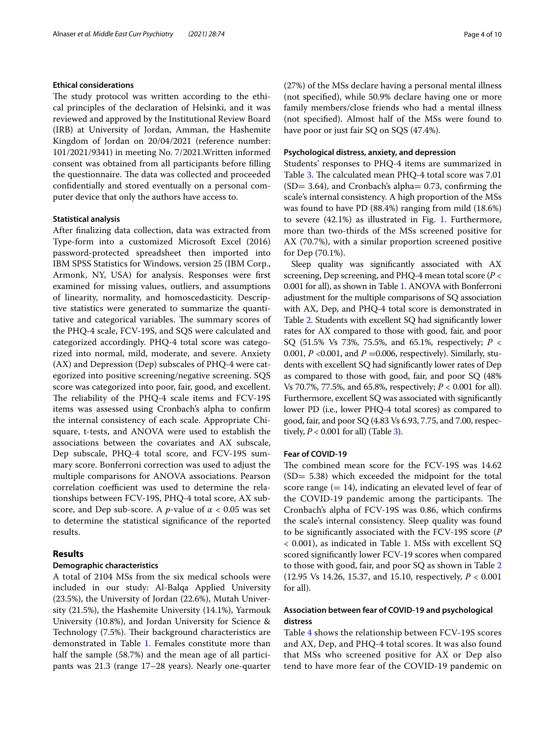# **Ethical considerations**

The study protocol was written according to the ethical principles of the declaration of Helsinki, and it was reviewed and approved by the Institutional Review Board (IRB) at University of Jordan, Amman, the Hashemite Kingdom of Jordan on 20/04/2021 (reference number: 101/2021/9341) in meeting No. 7/2021.Written informed consent was obtained from all participants before flling the questionnaire. The data was collected and proceeded confdentially and stored eventually on a personal computer device that only the authors have access to.

# **Statistical analysis**

After fnalizing data collection, data was extracted from Type-form into a customized Microsoft Excel (2016) password-protected spreadsheet then imported into IBM SPSS Statistics for Windows, version 25 (IBM Corp., Armonk, NY, USA) for analysis. Responses were frst examined for missing values, outliers, and assumptions of linearity, normality, and homoscedasticity. Descriptive statistics were generated to summarize the quantitative and categorical variables. The summary scores of the PHQ-4 scale, FCV-19S, and SQS were calculated and categorized accordingly. PHQ-4 total score was categorized into normal, mild, moderate, and severe. Anxiety (AX) and Depression (Dep) subscales of PHQ-4 were categorized into positive screening/negative screening. SQS score was categorized into poor, fair, good, and excellent. The reliability of the PHQ-4 scale items and FCV-19S items was assessed using Cronbach's alpha to confrm the internal consistency of each scale. Appropriate Chisquare, t-tests, and ANOVA were used to establish the associations between the covariates and AX subscale, Dep subscale, PHQ-4 total score, and FCV-19S summary score. Bonferroni correction was used to adjust the multiple comparisons for ANOVA associations. Pearson correlation coefficient was used to determine the relationships between FCV-19S, PHQ-4 total score, AX subscore, and Dep sub-score. A *p*-value of  $\alpha$  < 0.05 was set to determine the statistical signifcance of the reported results.

# **Results**

# **Demographic characteristics**

A total of 2104 MSs from the six medical schools were included in our study: Al-Balqa Applied University (23.5%), the University of Jordan (22.6%), Mutah University (21.5%), the Hashemite University (14.1%), Yarmouk University (10.8%), and Jordan University for Science & Technology (7.5%). Their background characteristics are demonstrated in Table [1.](#page-4-0) Females constitute more than half the sample (58.7%) and the mean age of all participants was 21.3 (range 17–28 years). Nearly one-quarter (27%) of the MSs declare having a personal mental illness (not specifed), while 50.9% declare having one or more family members/close friends who had a mental illness (not specifed). Almost half of the MSs were found to have poor or just fair SQ on SQS (47.4%).

# **Psychological distress, anxiety, and depression**

Students' responses to PHQ-4 items are summarized in Table [3](#page-5-0). The calculated mean PHQ-4 total score was 7.01  $(SD= 3.64)$ , and Cronbach's alpha= 0.73, confirming the scale's internal consistency. A high proportion of the MSs was found to have PD (88.4%) ranging from mild (18.6%) to severe (42.1%) as illustrated in Fig. [1](#page-5-1). Furthermore, more than two-thirds of the MSs screened positive for AX (70.7%), with a similar proportion screened positive for Dep (70.1%).

Sleep quality was signifcantly associated with AX screening, Dep screening, and PHQ-4 mean total score (*P* < 0.001 for all), as shown in Table [1](#page-4-0). ANOVA with Bonferroni adjustment for the multiple comparisons of SQ association with AX, Dep, and PHQ-4 total score is demonstrated in Table [2.](#page-5-2) Students with excellent SQ had signifcantly lower rates for AX compared to those with good, fair, and poor SQ (51.5% Vs 73%, 75.5%, and 65.1%, respectively; *P* < 0.001, *P* <0.001, and *P* =0.006, respectively). Similarly, students with excellent SQ had signifcantly lower rates of Dep as compared to those with good, fair, and poor SQ (48% Vs 70.7%, 77.5%, and 65.8%, respectively; *P* < 0.001 for all). Furthermore, excellent SQ was associated with signifcantly lower PD (i.e., lower PHQ-4 total scores) as compared to good, fair, and poor SQ (4.83 Vs 6.93, 7.75, and 7.00, respectively,  $P < 0.001$  for all) (Table [3](#page-5-0)).

# **Fear of COVID‑19**

The combined mean score for the FCV-19S was 14.62 (SD= 5.38) which exceeded the midpoint for the total score range  $(= 14)$ , indicating an elevated level of fear of the COVID-19 pandemic among the participants. The Cronbach's alpha of FCV-19S was 0.86, which confrms the scale's internal consistency. Sleep quality was found to be signifcantly associated with the FCV-19S score (*P* < 0.001), as indicated in Table [1](#page-4-0). MSs with excellent SQ scored signifcantly lower FCV-19 scores when compared to those with good, fair, and poor SQ as shown in Table [2](#page-5-2) (12.95 Vs 14.26, 15.37, and 15.10, respectively, *P* < 0.001 for all).

# **Association between fear of COVID‑19 and psychological distress**

Table [4](#page-6-0) shows the relationship between FCV-19S scores and AX, Dep, and PHQ-4 total scores. It was also found that MSs who screened positive for AX or Dep also tend to have more fear of the COVID-19 pandemic on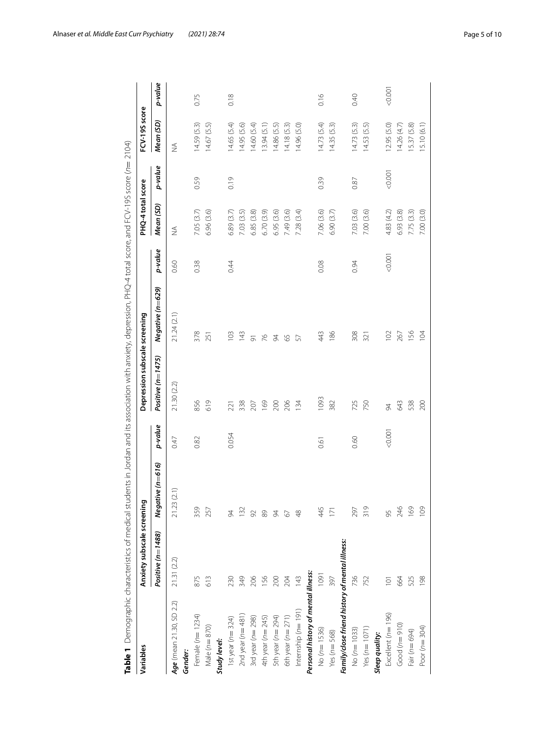<span id="page-4-0"></span>

| Table 1 Demographic characteristics of medical students in Jordan and its association with anxiety, depression, PHQ-4 total score, and FCV-19S score (n= |                            |                  |         |                               |                    |         |                   |         | (2104)         |         |
|----------------------------------------------------------------------------------------------------------------------------------------------------------|----------------------------|------------------|---------|-------------------------------|--------------------|---------|-------------------|---------|----------------|---------|
| Variables                                                                                                                                                | Anxiety subscale screening |                  |         | Depression subscale screening |                    |         | PHQ-4 total score |         | FCV-19S score  |         |
|                                                                                                                                                          | Positive (n=1488)          | Negative (n=616) | p-value | Positive (n=1475)             | Negative (n=629)   | p-value | Mean (SD)         | p-value | Mean (SD)      | p-value |
| Age (mean 21.30, SD 2.2)                                                                                                                                 | 21.31 (2.2)                | 21.23(2.1)       | 0.47    | 21.30 (2.2)                   | 21.24(2.1)         | 0.60    | $\frac{1}{2}$     |         | ₹              |         |
| Gender:                                                                                                                                                  |                            |                  |         |                               |                    |         |                   |         |                |         |
| Female (n= 1234)                                                                                                                                         | 875                        | 359              | 0.82    | 856                           | 378                | 0.38    | 7.05 (3.7)        | 0.59    | 14.59(5.3)     | 0.75    |
| Male $(n=870)$                                                                                                                                           | 613                        | 257              |         | 619                           | 251                |         | 6.96 (3.6)        |         | (5.5)<br>14.67 |         |
| Study level:                                                                                                                                             |                            |                  |         |                               |                    |         |                   |         |                |         |
| 1st year ( $n=324$ )                                                                                                                                     | 230                        | 84               | 0.054   | 221                           | 103                | 0.44    | 6.89 (3.7)        | 0.19    | 14.65 (5.4)    | 0.18    |
| 2nd year ( $n=481$ )                                                                                                                                     | 349                        | $\overline{32}$  |         | 338                           | 143                |         | 7.03 (3.5)        |         | 14.95 (5.6)    |         |
| 3rd year ( $n = 298$ )                                                                                                                                   | 206                        | 92               |         | 207                           | $\overline{\circ}$ |         | 6.85 (3.8)        |         | 14.60 (5.4)    |         |
| 4th year ( $n = 245$ )                                                                                                                                   | 156                        | 89               |         | 169                           | 76                 |         | 6.70 (3.9)        |         | 13.94(5.1)     |         |
| 5th year ( $n = 294$ )                                                                                                                                   | 200                        | 84               |         | 200                           | 54                 |         | 6.95(3.6)         |         | 14.86(5.5)     |         |
| 6th year ( $n = 271$ )                                                                                                                                   | 204                        | 67               |         | 206                           | 65                 |         | 7.49 (3.6)        |         | 14.18(5.3)     |         |
| Internship $(n=191)$                                                                                                                                     | 143                        | $\frac{8}{3}$    |         | 134                           | 57                 |         | 7.28 (3.4)        |         | 14.96 (5.0)    |         |
| Personal history of mental illness:                                                                                                                      |                            |                  |         |                               |                    |         |                   |         |                |         |
| No (n=1536)                                                                                                                                              | 1091                       | 445              | 0.61    | 1093                          | 443                | 0.08    | 7.06 (3.6)        | 0.39    | 14.73(5.4)     | 0.16    |
| Yes ( $n = 568$ )                                                                                                                                        | 397                        | E                |         | 382                           | 186                |         | 6.90(3.7)         |         | 14.35(5.3)     |         |
| Family/close friend history of mental illness:                                                                                                           |                            |                  |         |                               |                    |         |                   |         |                |         |
| $No(n=1033)$                                                                                                                                             | 736                        | 297              | 0.60    | 725                           | 308                | 0.94    | 7.03 (3.6)        | 0.87    | 14.73(5.3)     | 0.40    |
| Yes $(n = 1071)$                                                                                                                                         | 752                        | 319              |         | 750                           | 321                |         | 7.00 (3.6)        |         | 14.53(5.5)     |         |
| Sleep quality:                                                                                                                                           |                            |                  |         |                               |                    |         |                   |         |                |         |
| Excellent ( $n=196$ )                                                                                                                                    | Ξ                          | 95               | 0.001   | 34                            | 102                | < 0.001 | 4.83 (4.2)        | 10000   | 12.95 (5.0)    | &0.001  |
| $Good (n = 910)$                                                                                                                                         | 664                        | 246              |         | 643                           | 267                |         | 6.93 (3.8)        |         | 14.26 (4.7)    |         |
| Fair (n= 694)                                                                                                                                            | 525                        | 169              |         | 538                           | 156                |         | 7.75 (3.3)        |         | 15.37(5.8)     |         |
| Poor $(n=304)$                                                                                                                                           | 198                        | 109              |         | 200                           | $\overline{5}$     |         | 7.00 (3.0)        |         | 15.10 (6.1)    |         |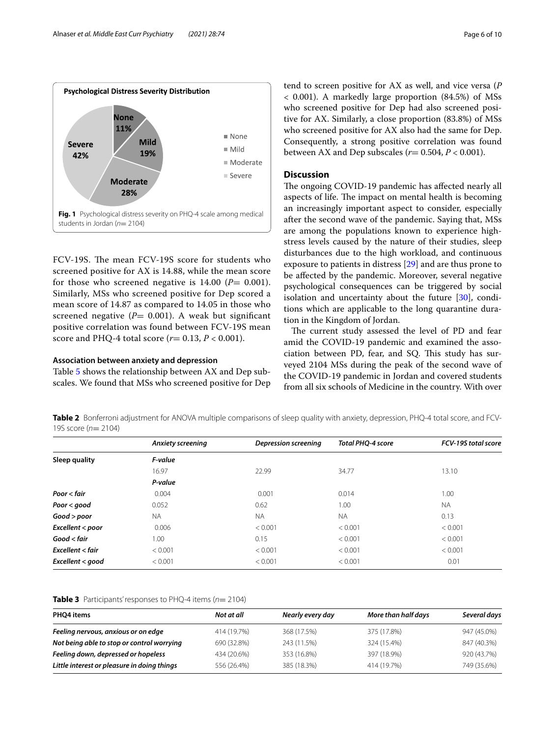

<span id="page-5-1"></span>FCV-19S. The mean FCV-19S score for students who screened positive for AX is 14.88, while the mean score for those who screened negative is  $14.00$  ( $P = 0.001$ ). Similarly, MSs who screened positive for Dep scored a mean score of 14.87 as compared to 14.05 in those who screened negative  $(P= 0.001)$ . A weak but significant positive correlation was found between FCV-19S mean score and PHQ-4 total score  $(r = 0.13, P < 0.001)$ .

# **Association between anxiety and depression**

Table [5](#page-6-1) shows the relationship between AX and Dep subscales. We found that MSs who screened positive for Dep tend to screen positive for AX as well, and vice versa (*P* < 0.001). A markedly large proportion (84.5%) of MSs who screened positive for Dep had also screened positive for AX. Similarly, a close proportion (83.8%) of MSs who screened positive for AX also had the same for Dep. Consequently, a strong positive correlation was found between AX and Dep subscales  $(r= 0.504, P < 0.001)$ .

# **Discussion**

The ongoing COVID-19 pandemic has affected nearly all aspects of life. The impact on mental health is becoming an increasingly important aspect to consider, especially after the second wave of the pandemic. Saying that, MSs are among the populations known to experience highstress levels caused by the nature of their studies, sleep disturbances due to the high workload, and continuous exposure to patients in distress [\[29](#page-9-1)] and are thus prone to be afected by the pandemic. Moreover, several negative psychological consequences can be triggered by social isolation and uncertainty about the future [[30](#page-9-2)], conditions which are applicable to the long quarantine duration in the Kingdom of Jordan.

The current study assessed the level of PD and fear amid the COVID-19 pandemic and examined the association between PD, fear, and SQ. This study has surveyed 2104 MSs during the peak of the second wave of the COVID-19 pandemic in Jordan and covered students from all six schools of Medicine in the country. With over

<span id="page-5-2"></span>**Table 2** Bonferroni adjustment for ANOVA multiple comparisons of sleep quality with anxiety, depression, PHQ-4 total score, and FCV-19S score (*n*= 2104)

|                    | Anxiety screening | <b>Depression screening</b> | <b>Total PHO-4 score</b> | FCV-19S total score |
|--------------------|-------------------|-----------------------------|--------------------------|---------------------|
| Sleep quality      | F-value           |                             |                          |                     |
|                    | 16.97             | 22.99                       | 34.77                    | 13.10               |
|                    | P-value           |                             |                          |                     |
| Poor < fair        | 0.004             | 0.001                       | 0.014                    | 1.00                |
| Poor $<$ good      | 0.052             | 0.62                        | 1.00                     | <b>NA</b>           |
| Good > poor        | <b>NA</b>         | <b>NA</b>                   | <b>NA</b>                | 0.13                |
| Excellent < poor   | 0.006             | < 0.001                     | < 0.001                  | < 0.001             |
| Good < fair        | 1.00              | 0.15                        | < 0.001                  | < 0.001             |
| $Excellent <$ fair | < 0.001           | < 0.001                     | < 0.001                  | < 0.001             |
| Excellent < good   | < 0.001           | < 0.001                     | < 0.001                  | 0.01                |

# <span id="page-5-0"></span>**Table 3** Participants' responses to PHQ-4 items (*n*= 2104)

| PHO4 items                                  | Not at all  | Nearly every day | More than half days | Several days |
|---------------------------------------------|-------------|------------------|---------------------|--------------|
| Feeling nervous, anxious or on edge         | 414 (19.7%) | 368 (17.5%)      | 375 (17.8%)         | 947 (45.0%)  |
| Not being able to stop or control worrying  | 690 (32.8%) | 243 (11.5%)      | 324 (15.4%)         | 847 (40.3%)  |
| Feeling down, depressed or hopeless         | 434 (20.6%) | 353 (16.8%)      | 397 (18.9%)         | 920 (43.7%)  |
| Little interest or pleasure in doing things | 556 (26.4%) | 385 (18.3%)      | 414 (19.7%)         | 749 (35.6%)  |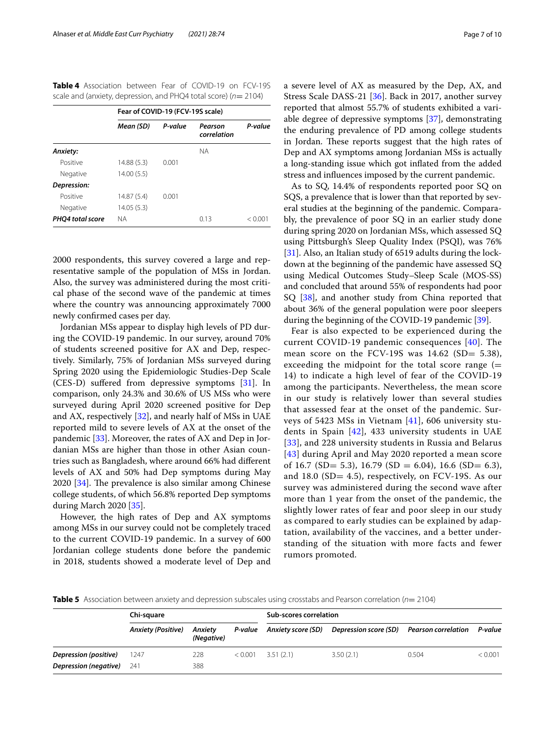<span id="page-6-0"></span>**Table 4** Association between Fear of COVID-19 on FCV-19S scale and (anxiety, depression, and PHQ4 total score) ( $n=$  2104)

|                  | Fear of COVID-19 (FCV-19S scale) |         |                        |         |
|------------------|----------------------------------|---------|------------------------|---------|
|                  | Mean (SD)                        | P-value | Pearson<br>correlation | P-value |
| Anxiety:         |                                  |         | <b>NA</b>              |         |
| Positive         | 14.88 (5.3)                      | 0.001   |                        |         |
| Negative         | 14.00(5.5)                       |         |                        |         |
| Depression:      |                                  |         |                        |         |
| Positive         | 14.87 (5.4)                      | 0.001   |                        |         |
| Negative         | 14.05(5.3)                       |         |                        |         |
| PHO4 total score | <b>NA</b>                        |         | 0.13                   | < 0.001 |

2000 respondents, this survey covered a large and representative sample of the population of MSs in Jordan. Also, the survey was administered during the most critical phase of the second wave of the pandemic at times where the country was announcing approximately 7000 newly confrmed cases per day.

Jordanian MSs appear to display high levels of PD during the COVID-19 pandemic. In our survey, around 70% of students screened positive for AX and Dep, respectively. Similarly, 75% of Jordanian MSs surveyed during Spring 2020 using the Epidemiologic Studies-Dep Scale (CES-D) suffered from depressive symptoms [[31\]](#page-9-3). In comparison, only 24.3% and 30.6% of US MSs who were surveyed during April 2020 screened positive for Dep and AX, respectively [\[32](#page-9-4)], and nearly half of MSs in UAE reported mild to severe levels of AX at the onset of the pandemic [\[33](#page-9-5)]. Moreover, the rates of AX and Dep in Jordanian MSs are higher than those in other Asian countries such as Bangladesh, where around 66% had diferent levels of AX and 50% had Dep symptoms during May  $2020$  [ $34$ ]. The prevalence is also similar among Chinese college students, of which 56.8% reported Dep symptoms during March 2020 [[35\]](#page-9-7).

However, the high rates of Dep and AX symptoms among MSs in our survey could not be completely traced to the current COVID-19 pandemic. In a survey of 600 Jordanian college students done before the pandemic in 2018, students showed a moderate level of Dep and a severe level of AX as measured by the Dep, AX, and Stress Scale DASS-21 [[36\]](#page-9-8). Back in 2017, another survey reported that almost 55.7% of students exhibited a variable degree of depressive symptoms [\[37](#page-9-9)], demonstrating the enduring prevalence of PD among college students in Jordan. These reports suggest that the high rates of Dep and AX symptoms among Jordanian MSs is actually a long-standing issue which got infated from the added stress and infuences imposed by the current pandemic.

As to SQ, 14.4% of respondents reported poor SQ on SQS, a prevalence that is lower than that reported by several studies at the beginning of the pandemic. Comparably, the prevalence of poor SQ in an earlier study done during spring 2020 on Jordanian MSs, which assessed SQ using Pittsburgh's Sleep Quality Index (PSQI), was 76% [[31\]](#page-9-3). Also, an Italian study of 6519 adults during the lockdown at the beginning of the pandemic have assessed SQ using Medical Outcomes Study–Sleep Scale (MOS-SS) and concluded that around 55% of respondents had poor SQ [\[38](#page-9-10)], and another study from China reported that about 36% of the general population were poor sleepers during the beginning of the COVID-19 pandemic [\[39\]](#page-9-11).

Fear is also expected to be experienced during the current COVID-19 pandemic consequences [[40](#page-9-12)]. The mean score on the FCV-19S was 14.62 (SD= 5.38), exceeding the midpoint for the total score range  $(=$ 14) to indicate a high level of fear of the COVID-19 among the participants. Nevertheless, the mean score in our study is relatively lower than several studies that assessed fear at the onset of the pandemic. Surveys of 5423 MSs in Vietnam [\[41\]](#page-9-13), 606 university students in Spain [\[42\]](#page-9-14), 433 university students in UAE [[33](#page-9-5)], and 228 university students in Russia and Belarus [[43](#page-9-15)] during April and May 2020 reported a mean score of 16.7 (SD= 5.3), 16.79 (SD = 6.04), 16.6 (SD= 6.3), and 18.0 (SD= 4.5), respectively, on FCV-19S. As our survey was administered during the second wave after more than 1 year from the onset of the pandemic, the slightly lower rates of fear and poor sleep in our study as compared to early studies can be explained by adaptation, availability of the vaccines, and a better understanding of the situation with more facts and fewer rumors promoted.

<span id="page-6-1"></span>**Table 5** Association between anxiety and depression subscales using crosstabs and Pearson correlation (*n*= 2104)

|                                  | Chi-square                |                       |         | Sub-scores correlation     |                                            |       |         |
|----------------------------------|---------------------------|-----------------------|---------|----------------------------|--------------------------------------------|-------|---------|
|                                  | <b>Anxiety (Positive)</b> | Anxiety<br>(Negative) |         | P-value Anxiety score (SD) | Depression score (SD)  Pearson correlation |       | P-value |
| Depression (positive)            | 1247                      | 228                   | < 0.001 | 3.51(2.1)                  | 3.50(2.1)                                  | 0.504 | < 0.001 |
| <b>Depression (negative)</b> 241 |                           | 388                   |         |                            |                                            |       |         |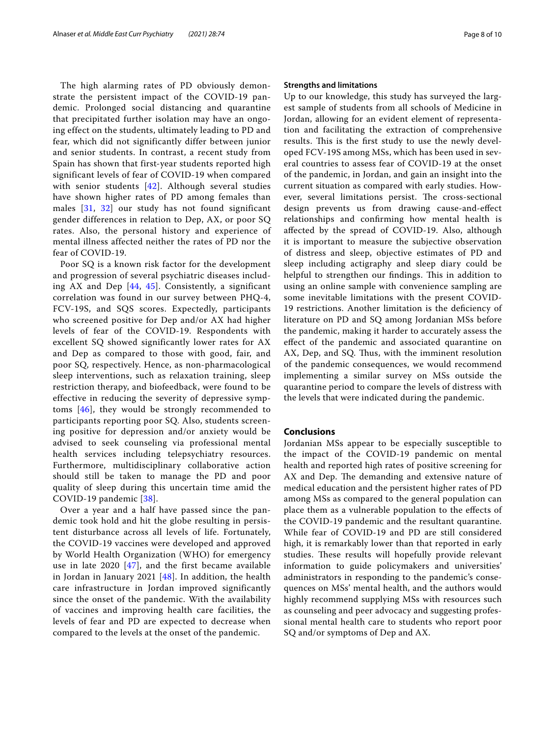The high alarming rates of PD obviously demonstrate the persistent impact of the COVID-19 pandemic. Prolonged social distancing and quarantine that precipitated further isolation may have an ongoing effect on the students, ultimately leading to PD and fear, which did not significantly differ between junior and senior students. In contrast, a recent study from Spain has shown that first-year students reported high significant levels of fear of COVID-19 when compared with senior students [\[42\]](#page-9-14). Although several studies have shown higher rates of PD among females than males [[31](#page-9-3), [32](#page-9-4)] our study has not found significant gender differences in relation to Dep, AX, or poor SQ rates. Also, the personal history and experience of mental illness affected neither the rates of PD nor the fear of COVID-19.

Poor SQ is a known risk factor for the development and progression of several psychiatric diseases including AX and Dep [\[44,](#page-9-16) [45\]](#page-9-17). Consistently, a significant correlation was found in our survey between PHQ-4, FCV-19S, and SQS scores. Expectedly, participants who screened positive for Dep and/or AX had higher levels of fear of the COVID-19. Respondents with excellent SQ showed significantly lower rates for AX and Dep as compared to those with good, fair, and poor SQ, respectively. Hence, as non-pharmacological sleep interventions, such as relaxation training, sleep restriction therapy, and biofeedback, were found to be effective in reducing the severity of depressive symptoms [[46](#page-9-18)], they would be strongly recommended to participants reporting poor SQ. Also, students screening positive for depression and/or anxiety would be advised to seek counseling via professional mental health services including telepsychiatry resources. Furthermore, multidisciplinary collaborative action should still be taken to manage the PD and poor quality of sleep during this uncertain time amid the COVID-19 pandemic [[38](#page-9-10)].

Over a year and a half have passed since the pandemic took hold and hit the globe resulting in persistent disturbance across all levels of life. Fortunately, the COVID-19 vaccines were developed and approved by World Health Organization (WHO) for emergency use in late 2020  $[47]$  $[47]$ , and the first became available in Jordan in January 2021  $[48]$ . In addition, the health care infrastructure in Jordan improved significantly since the onset of the pandemic. With the availability of vaccines and improving health care facilities, the levels of fear and PD are expected to decrease when compared to the levels at the onset of the pandemic.

# **Strengths and limitations**

Up to our knowledge, this study has surveyed the largest sample of students from all schools of Medicine in Jordan, allowing for an evident element of representation and facilitating the extraction of comprehensive results. This is the first study to use the newly developed FCV-19S among MSs, which has been used in several countries to assess fear of COVID-19 at the onset of the pandemic, in Jordan, and gain an insight into the current situation as compared with early studies. However, several limitations persist. The cross-sectional design prevents us from drawing cause-and-efect relationships and confrming how mental health is afected by the spread of COVID-19. Also, although it is important to measure the subjective observation of distress and sleep, objective estimates of PD and sleep including actigraphy and sleep diary could be helpful to strengthen our findings. This in addition to using an online sample with convenience sampling are some inevitable limitations with the present COVID-19 restrictions. Another limitation is the defciency of literature on PD and SQ among Jordanian MSs before the pandemic, making it harder to accurately assess the efect of the pandemic and associated quarantine on AX, Dep, and SQ. Thus, with the imminent resolution of the pandemic consequences, we would recommend implementing a similar survey on MSs outside the quarantine period to compare the levels of distress with the levels that were indicated during the pandemic.

# **Conclusions**

Jordanian MSs appear to be especially susceptible to the impact of the COVID-19 pandemic on mental health and reported high rates of positive screening for AX and Dep. The demanding and extensive nature of medical education and the persistent higher rates of PD among MSs as compared to the general population can place them as a vulnerable population to the efects of the COVID-19 pandemic and the resultant quarantine. While fear of COVID-19 and PD are still considered high, it is remarkably lower than that reported in early studies. These results will hopefully provide relevant information to guide policymakers and universities' administrators in responding to the pandemic's consequences on MSs' mental health, and the authors would highly recommend supplying MSs with resources such as counseling and peer advocacy and suggesting professional mental health care to students who report poor SQ and/or symptoms of Dep and AX.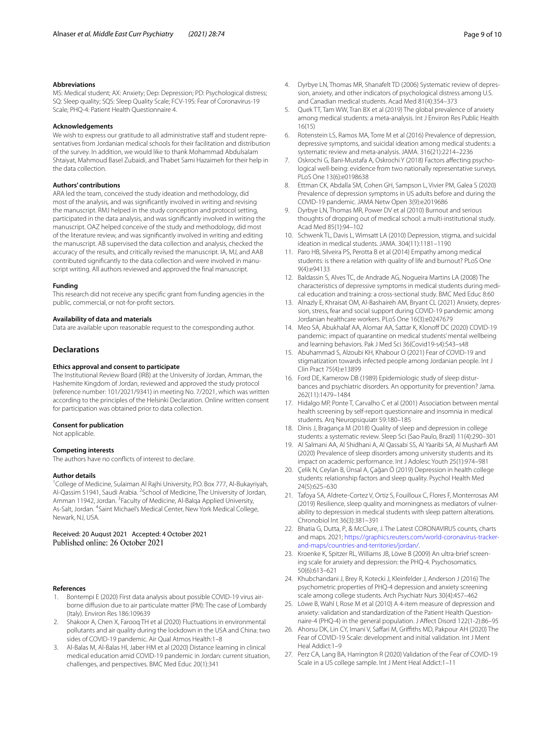MS: Medical student; AX: Anxiety; Dep: Depression; PD: Psychological distress; SQ: Sleep quality; SQS: Sleep Quality Scale; FCV-19S: Fear of Coronavirus-19 Scale; PHQ-4: Patient Health Questionnaire 4.

#### **Acknowledgements**

We wish to express our gratitude to all administrative staff and student representatives from Jordanian medical schools for their facilitation and distribution of the survey. In addition, we would like to thank Mohammad Abdulsalam Shtaiyat, Mahmoud Basel Zubaidi, and Thabet Sami Hazaimeh for their help in the data collection.

#### **Authors' contributions**

ARA led the team, conceived the study ideation and methodology, did most of the analysis, and was signifcantly involved in writing and revising the manuscript. RMJ helped in the study conception and protocol setting, participated in the data analysis, and was signifcantly involved in writing the manuscript. OAZ helped conceive of the study and methodology, did most of the literature review, and was signifcantly involved in writing and editing the manuscript. AB supervised the data collection and analysis, checked the accuracy of the results, and critically revised the manuscript. IA, MJ, and AAB contributed significantly to the data collection and were involved in manuscript writing. All authors reviewed and approved the fnal manuscript.

#### **Funding**

This research did not receive any specifc grant from funding agencies in the public, commercial, or not-for-proft sectors.

# **Availability of data and materials**

Data are available upon reasonable request to the corresponding author.

### **Declarations**

#### **Ethics approval and consent to participate**

The Institutional Review Board (IRB) at the University of Jordan, Amman, the Hashemite Kingdom of Jordan, reviewed and approved the study protocol (reference number: 101/2021/9341) in meeting No. 7/2021, which was written according to the principles of the Helsinki Declaration. Online written consent for participation was obtained prior to data collection.

#### **Consent for publication**

Not applicable.

#### **Competing interests**

The authors have no conficts of interest to declare.

#### **Author details**

<sup>1</sup> College of Medicine, Sulaiman Al Rajhi University, P.O. Box 777, Al-Bukayriyah, Al-Qassim 51941, Saudi Arabia. <sup>2</sup> School of Medicine, The University of Jordan, Amman 11942, Jordan. <sup>3</sup> Faculty of Medicine, Al-Balqa Applied University, As-Salt, Jordan. <sup>4</sup>Saint Michael's Medical Center, New York Medical College, Newark, NJ, USA.

# Received: 20 August 2021 Accepted: 4 October 2021

#### **References**

- <span id="page-8-0"></span>Bontempi E (2020) First data analysis about possible COVID-19 virus airborne difusion due to air particulate matter (PM): The case of Lombardy (Italy). Environ Res 186:109639
- <span id="page-8-1"></span>2. Shakoor A, Chen X, Farooq TH et al (2020) Fluctuations in environmental pollutants and air quality during the lockdown in the USA and China: two sides of COVID-19 pandemic. Air Qual Atmos Health:1–8
- <span id="page-8-2"></span>3. Al-Balas M, Al-Balas HI, Jaber HM et al (2020) Distance learning in clinical medical education amid COVID-19 pandemic in Jordan: current situation, challenges, and perspectives. BMC Med Educ 20(1):341
- <span id="page-8-3"></span>4. Dyrbye LN, Thomas MR, Shanafelt TD (2006) Systematic review of depression, anxiety, and other indicators of psychological distress among U.S. and Canadian medical students. Acad Med 81(4):354–373
- <span id="page-8-4"></span>5. Quek TT, Tam WW, Tran BX et al (2019) The global prevalence of anxiety among medical students: a meta-analysis. Int J Environ Res Public Health 16(15)
- <span id="page-8-5"></span>6. Rotenstein LS, Ramos MA, Torre M et al (2016) Prevalence of depression, depressive symptoms, and suicidal ideation among medical students: a systematic review and meta-analysis. JAMA. 316(21):2214–2236
- <span id="page-8-6"></span>7. Oskrochi G, Bani-Mustafa A, Oskrochi Y (2018) Factors affecting psychological well-being: evidence from two nationally representative surveys. PLoS One 13(6):e0198638
- <span id="page-8-7"></span>8. Ettman CK, Abdalla SM, Cohen GH, Sampson L, Vivier PM, Galea S (2020) Prevalence of depression symptoms in US adults before and during the COVID-19 pandemic. JAMA Netw Open 3(9):e2019686
- <span id="page-8-8"></span>9. Dyrbye LN, Thomas MR, Power DV et al (2010) Burnout and serious thoughts of dropping out of medical school: a multi-institutional study. Acad Med 85(1):94–102
- <span id="page-8-9"></span>10. Schwenk TL, Davis L, Wimsatt LA (2010) Depression, stigma, and suicidal ideation in medical students. JAMA. 304(11):1181–1190
- <span id="page-8-10"></span>11. Paro HB, Silveira PS, Perotta B et al (2014) Empathy among medical students: is there a relation with quality of life and burnout? PLoS One 9(4):e94133
- <span id="page-8-11"></span>12. Baldassin S, Alves TC, de Andrade AG, Nogueira Martins LA (2008) The characteristics of depressive symptoms in medical students during medical education and training: a cross-sectional study. BMC Med Educ 8:60
- <span id="page-8-12"></span>13. Alnazly E, Khraisat OM, Al-Bashaireh AM, Bryant CL (2021) Anxiety, depression, stress, fear and social support during COVID-19 pandemic among Jordanian healthcare workers. PLoS One 16(3):e0247679
- <span id="page-8-13"></span>14. Meo SA, Abukhalaf AA, Alomar AA, Sattar K, Klonoff DC (2020) COVID-19 pandemic: impact of quarantine on medical students' mental wellbeing and learning behaviors. Pak J Med Sci 36(Covid19-s4):S43–s48
- <span id="page-8-14"></span>15. Abuhammad S, Alzoubi KH, Khabour O (2021) Fear of COVID-19 and stigmatization towards infected people among Jordanian people. Int J Clin Pract 75(4):e13899
- <span id="page-8-15"></span>16. Ford DE, Kamerow DB (1989) Epidemiologic study of sleep disturbances and psychiatric disorders. An opportunity for prevention? Jama. 262(11):1479–1484
- <span id="page-8-16"></span>17. Hidalgo MP, Ponte T, Carvalho C et al (2001) Association between mental health screening by self-report questionnaire and insomnia in medical students. Arq Neuropsiquiatr 59:180–185
- <span id="page-8-17"></span>18. Dinis J, Bragança M (2018) Quality of sleep and depression in college students: a systematic review. Sleep Sci (Sao Paulo, Brazil) 11(4):290–301
- <span id="page-8-18"></span>19. Al Salmani AA, Al Shidhani A, Al Qassabi SS, Al Yaaribi SA, Al Musharf AM (2020) Prevalence of sleep disorders among university students and its impact on academic performance. Int J Adolesc Youth 25(1):974–981
- 20. Çelik N, Ceylan B, Ünsal A, Çağan Ö (2019) Depression in health college students: relationship factors and sleep quality. Psychol Health Med 24(5):625–630
- <span id="page-8-19"></span>21. Tafoya SA, Aldrete-Cortez V, Ortiz S, Fouilloux C, Flores F, Monterrosas AM (2019) Resilience, sleep quality and morningness as mediators of vulnerability to depression in medical students with sleep pattern alterations. Chronobiol Int 36(3):381–391
- <span id="page-8-20"></span>22. Bhatia G, Dutta, P., & McClure, J. The Latest CORONAVIRUS counts, charts and maps. 2021; [https://graphics.reuters.com/world-coronavirus-tracker](https://graphics.reuters.com/world-coronavirus-tracker-and-maps/countries-and-territories/jordan/) [and-maps/countries-and-territories/jordan/.](https://graphics.reuters.com/world-coronavirus-tracker-and-maps/countries-and-territories/jordan/)
- <span id="page-8-21"></span>23. Kroenke K, Spitzer RL, Williams JB, Löwe B (2009) An ultra-brief screening scale for anxiety and depression: the PHQ-4. Psychosomatics. 50(6):613–621
- <span id="page-8-22"></span>24. Khubchandani J, Brey R, Kotecki J, Kleinfelder J, Anderson J (2016) The psychometric properties of PHQ-4 depression and anxiety screening scale among college students. Arch Psychiatr Nurs 30(4):457–462
- <span id="page-8-23"></span>25. Löwe B, Wahl I, Rose M et al (2010) A 4-item measure of depression and anxiety: validation and standardization of the Patient Health Questionnaire-4 (PHQ-4) in the general population. J Afect Disord 122(1-2):86–95
- <span id="page-8-24"></span>26. Ahorsu DK, Lin CY, Imani V, Safari M, Grifths MD, Pakpour AH (2020) The Fear of COVID-19 Scale: development and initial validation. Int J Ment Heal Addict:1–9
- <span id="page-8-25"></span>27. Perz CA, Lang BA, Harrington R (2020) Validation of the Fear of COVID-19 Scale in a US college sample. Int J Ment Heal Addict:1–11